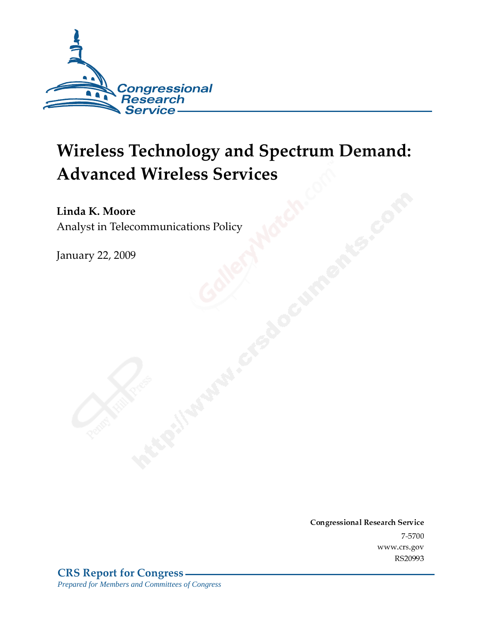

# **Wireless Technology and Spectrum Demand: Advanced Wireless Services**

Linda K. Moore Analyst in Telecommunications Policy

**January 22, 2009** 

Conglessional Research Service  $7 - 2700$ www.cis.gov RS20993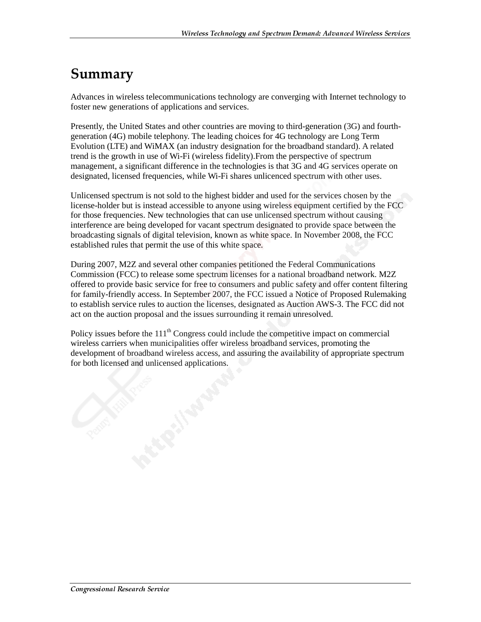## Summary

Advances in wireless telecommunications technology are converging with Internet technology to foster new generations of applications and services.

Presently, the United States and other countries are moving to third-generation (3G) and fourthgeneration (4G) mobile telephony. The leading choices for 4G technology are Long Term Evolution (LTE) and WiMAX (an industry designation for the broadband standard). A related trend is the growth in use of Wi-Fi (wireless fidelity).From the perspective of spectrum management, a significant difference in the technologies is that 3G and 4G services operate on designated, licensed frequencies, while Wi-Fi shares unlicenced spectrum with other uses.

Unlicensed spectrum is not sold to the highest bidder and used for the services chosen by the license-holder but is instead accessible to anyone using wireless equipment certified by the FCC for those frequencies. New technologies that can use unlicensed spectrum without causing interference are being developed for vacant spectrum designated to provide space between the broadcasting signals of digital television, known as white space. In November 2008, the FCC established rules that permit the use of this white space.

During 2007, M2Z and several other companies petitioned the Federal Communications Commission (FCC) to release some spectrum licenses for a national broadband network. M2Z offered to provide basic service for free to consumers and public safety and offer content filtering for family-friendly access. In September 2007, the FCC issued a Notice of Proposed Rulemaking to establish service rules to auction the licenses, designated as Auction AWS-3. The FCC did not act on the auction proposal and the issues surrounding it remain unresolved.

Policy issues before the  $111<sup>th</sup>$  Congress could include the competitive impact on commercial wireless carriers when municipalities offer wireless broadband services, promoting the development of broadband wireless access, and assuring the availability of appropriate spectrum for both licensed and unlicensed applications.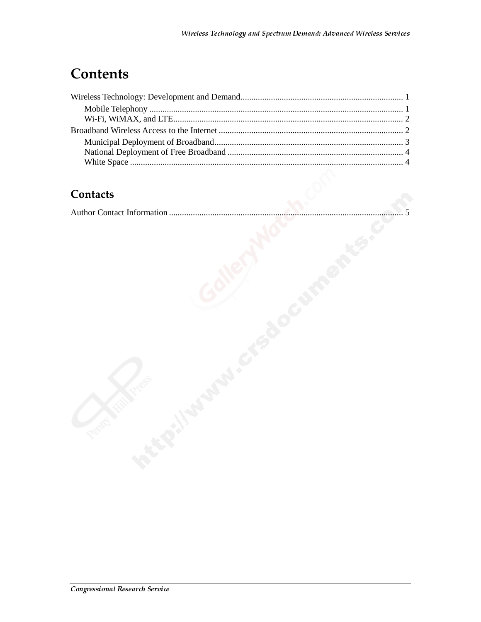# **Contents**

#### **Contacts**

|--|--|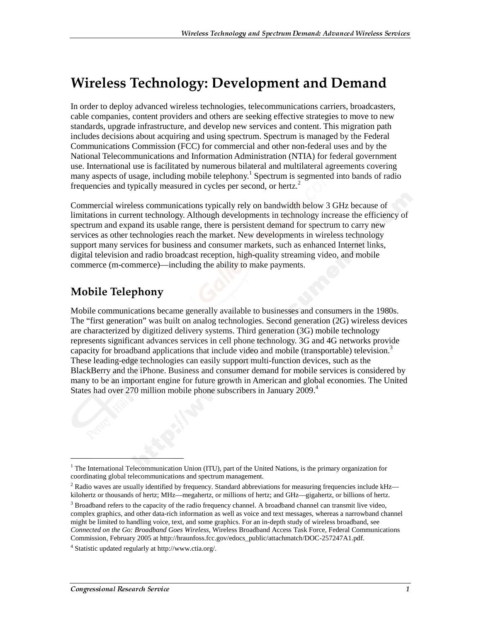## **Wireless Technology: Development and Demand**

In order to deploy advanced wireless technologies, telecommunications carriers, broadcasters, cable companies, content providers and others are seeking effective strategies to move to new standards, upgrade infrastructure, and develop new services and content. This migration path includes decisions about acquiring and using spectrum. Spectrum is managed by the Federal Communications Commission (FCC) for commercial and other non-federal uses and by the National Telecommunications and Information Administration (NTIA) for federal government use. International use is facilitated by numerous bilateral and multilateral agreements covering many aspects of usage, including mobile telephony.<sup>1</sup> Spectrum is segmented into bands of radio frequencies and typically measured in cycles per second, or hertz.<sup>2</sup>

Commercial wireless communications typically rely on bandwidth below 3 GHz because of limitations in current technology. Although developments in technology increase the efficiency of spectrum and expand its usable range, there is persistent demand for spectrum to carry new services as other technologies reach the market. New developments in wireless technology support many services for business and consumer markets, such as enhanced Internet links, digital television and radio broadcast reception, high-quality streaming video, and mobile commerce (m-commerce)—including the ability to make payments.

#### **Mobile Telephony**

Mobile communications became generally available to businesses and consumers in the 1980s. The "first generation" was built on analog technologies. Second generation (2G) wireless devices are characterized by digitized delivery systems. Third generation (3G) mobile technology represents significant advances services in cell phone technology. 3G and 4G networks provide capacity for broadband applications that include video and mobile (transportable) television.<sup>3</sup> These leading-edge technologies can easily support multi-function devices, such as the BlackBerry and the iPhone. Business and consumer demand for mobile services is considered by many to be an important engine for future growth in American and global economies. The United States had over 270 million mobile phone subscribers in January 2009.<sup>4</sup>

j

<sup>&</sup>lt;sup>1</sup> The International Telecommunication Union (ITU), part of the United Nations, is the primary organization for coordinating global telecommunications and spectrum management.

 $2$  Radio waves are usually identified by frequency. Standard abbreviations for measuring frequencies include kHz kilohertz or thousands of hertz; MHz—megahertz, or millions of hertz; and GHz—gigahertz, or billions of hertz.

 $3$  Broadband refers to the capacity of the radio frequency channel. A broadband channel can transmit live video, complex graphics, and other data-rich information as well as voice and text messages, whereas a narrowband channel might be limited to handling voice, text, and some graphics. For an in-depth study of wireless broadband, see *Connected on the Go: Broadband Goes Wireless,* Wireless Broadband Access Task Force, Federal Communications Commission, February 2005 at http://hraunfoss.fcc.gov/edocs\_public/attachmatch/DOC-257247A1.pdf.

<sup>4</sup> Statistic updated regularly at http://www.ctia.org/.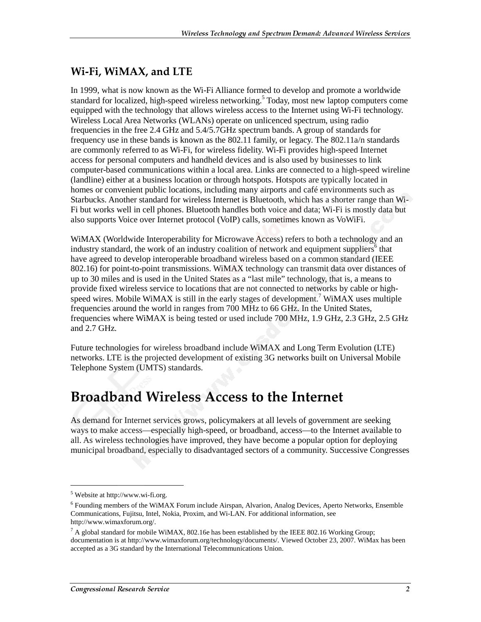#### Wi-Fi, WiMAX, and LTE

In 1999, what is now known as the Wi-Fi Alliance formed to develop and promote a worldwide standard for localized, high-speed wireless networking.<sup>5</sup> Today, most new laptop computers come equipped with the technology that allows wireless access to the Internet using Wi-Fi technology. Wireless Local Area Networks (WLANs) operate on unlicenced spectrum, using radio frequencies in the free 2.4 GHz and 5.4/5.7GHz spectrum bands. A group of standards for frequency use in these bands is known as the 802.11 family, or legacy. The 802.11a/n standards are commonly referred to as Wi-Fi, for wireless fidelity. Wi-Fi provides high-speed Internet access for personal computers and handheld devices and is also used by businesses to link computer-based communications within a local area. Links are connected to a high-speed wireline (landline) either at a business location or through hotspots. Hotspots are typically located in homes or convenient public locations, including many airports and café environments such as Starbucks. Another standard for wireless Internet is Bluetooth, which has a shorter range than Wi-Fi but works well in cell phones. Bluetooth handles both voice and data; Wi-Fi is mostly data but also supports Voice over Internet protocol (VoIP) calls, sometimes known as VoWiFi.

WiMAX (Worldwide Interoperability for Microwave Access) refers to both a technology and an industry standard, the work of an industry coalition of network and equipment suppliers<sup>6</sup> that have agreed to develop interoperable broadband wireless based on a common standard (IEEE 802.16) for point-to-point transmissions. WiMAX technology can transmit data over distances of up to 30 miles and is used in the United States as a "last mile" technology, that is, a means to provide fixed wireless service to locations that are not connected to networks by cable or highspeed wires. Mobile WiMAX is still in the early stages of development.<sup>7</sup> WiMAX uses multiple frequencies around the world in ranges from 700 MHz to 66 GHz. In the United States, frequencies where WiMAX is being tested or used include 700 MHz, 1.9 GHz, 2.3 GHz, 2.5 GHz and 2.7 GHz.

Future technologies for wireless broadband include WiMAX and Long Term Evolution (LTE) networks. LTE is the projected development of existing 3G networks built on Universal Mobile Telephone System (UMTS) standards.

### **Broadband Wireless Access to the Internet**

As demand for Internet services grows, policymakers at all levels of government are seeking ways to make access—especially high-speed, or broadband, access—to the Internet available to all. As wireless technologies have improved, they have become a popular option for deploying municipal broadband, especially to disadvantaged sectors of a community. Successive Congresses

j

 $<sup>5</sup>$  Website at http://www.wi-fi.org.</sup>

<sup>&</sup>lt;sup>6</sup> Founding members of the WiMAX Forum include Airspan, Alvarion, Analog Devices, Aperto Networks, Ensemble Communications, Fujitsu, Intel, Nokia, Proxim, and Wi-LAN. For additional information, see http://www.wimaxforum.org/.

 $^7$  A global standard for mobile WiMAX, 802.16e has been established by the IEEE 802.16 Working Group; documentation is at http://www.wimaxforum.org/technology/documents/. Viewed October 23, 2007. WiMax has been accepted as a 3G standard by the International Telecommunications Union.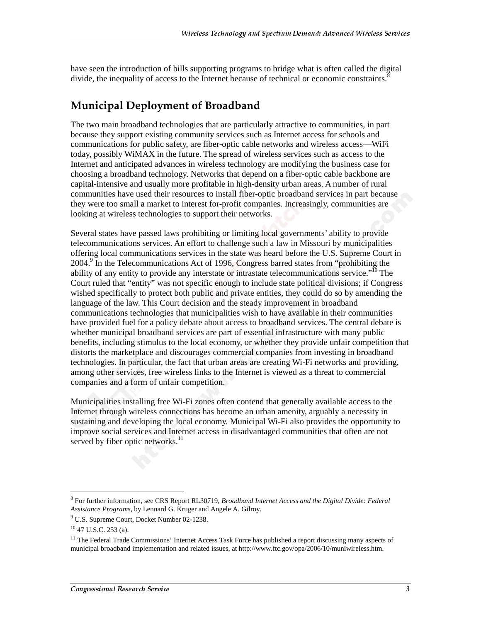have seen the introduction of bills supporting programs to bridge what is often called the digital divide, the inequality of access to the Internet because of technical or economic constraints.<sup>8</sup>

### **Municipal Deployment of Broadband**

The two main broadband technologies that are particularly attractive to communities, in part because they support existing community services such as Internet access for schools and communications for public safety, are fiber-optic cable networks and wireless access—WiFi today, possibly WiMAX in the future. The spread of wireless services such as access to the Internet and anticipated advances in wireless technology are modifying the business case for choosing a broadband technology. Networks that depend on a fiber-optic cable backbone are capital-intensive and usually more profitable in high-density urban areas. A number of rural communities have used their resources to install fiber-optic broadband services in part because they were too small a market to interest for-profit companies. Increasingly, communities are looking at wireless technologies to support their networks.

Several states have passed laws prohibiting or limiting local governments' ability to provide telecommunications services. An effort to challenge such a law in Missouri by municipalities offering local communications services in the state was heard before the U.S. Supreme Court in 2004.<sup>9</sup> In the Telecommunications Act of 1996, Congress barred states from "prohibiting the ability of any entity to provide any interstate or intrastate telecommunications service."<sup>10</sup> The Court ruled that "entity" was not specific enough to include state political divisions; if Congress wished specifically to protect both public and private entities, they could do so by amending the language of the law. This Court decision and the steady improvement in broadband communications technologies that municipalities wish to have available in their communities have provided fuel for a policy debate about access to broadband services. The central debate is whether municipal broadband services are part of essential infrastructure with many public benefits, including stimulus to the local economy, or whether they provide unfair competition that distorts the marketplace and discourages commercial companies from investing in broadband technologies. In particular, the fact that urban areas are creating Wi-Fi networks and providing, among other services, free wireless links to the Internet is viewed as a threat to commercial companies and a form of unfair competition.

Municipalities installing free Wi-Fi zones often contend that generally available access to the Internet through wireless connections has become an urban amenity, arguably a necessity in sustaining and developing the local economy. Municipal Wi-Fi also provides the opportunity to improve social services and Internet access in disadvantaged communities that often are not served by fiber optic networks.<sup>11</sup>

 $\overline{a}$ 

<sup>8</sup> For further information, see CRS Report RL30719, *Broadband Internet Access and the Digital Divide: Federal Assistance Programs*, by Lennard G. Kruger and Angele A. Gilroy.

<sup>9</sup> U.S. Supreme Court, Docket Number 02-1238.

<sup>10 47</sup> U.S.C. 253 (a).

 $11$  The Federal Trade Commissions' Internet Access Task Force has published a report discussing many aspects of municipal broadband implementation and related issues, at http://www.ftc.gov/opa/2006/10/muniwireless.htm.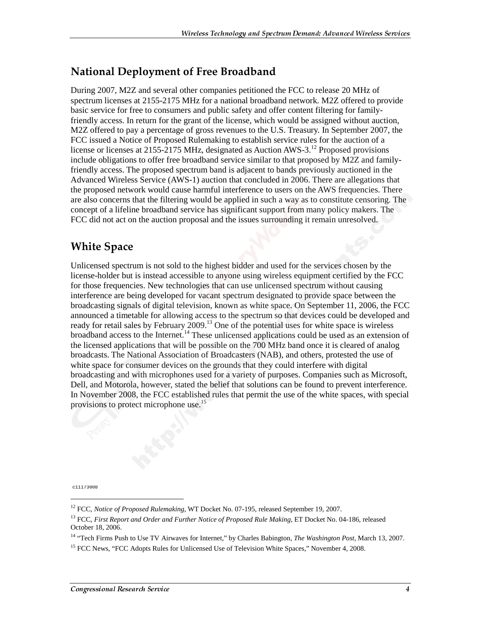#### National Deployment of Free Broadband

During 2007, M2Z and several other companies petitioned the FCC to release 20 MHz of spectrum licenses at 2155-2175 MHz for a national broadband network. M2Z offered to provide basic service for free to consumers and public safety and offer content filtering for familyfriendly access. In return for the grant of the license, which would be assigned without auction, M2Z offered to pay a percentage of gross revenues to the U.S. Treasury. In September 2007, the FCC issued a Notice of Proposed Rulemaking to establish service rules for the auction of a license or licenses at 2155-2175 MHz, designated as Auction AWS-3.12 Proposed provisions include obligations to offer free broadband service similar to that proposed by M2Z and familyfriendly access. The proposed spectrum band is adjacent to bands previously auctioned in the Advanced Wireless Service (AWS-1) auction that concluded in 2006. There are allegations that the proposed network would cause harmful interference to users on the AWS frequencies. There are also concerns that the filtering would be applied in such a way as to constitute censoring. The concept of a lifeline broadband service has significant support from many policy makers. The FCC did not act on the auction proposal and the issues surrounding it remain unresolved.

#### **White Space**

Unlicensed spectrum is not sold to the highest bidder and used for the services chosen by the license-holder but is instead accessible to anyone using wireless equipment certified by the FCC for those frequencies. New technologies that can use unlicensed spectrum without causing interference are being developed for vacant spectrum designated to provide space between the broadcasting signals of digital television, known as white space. On September 11, 2006, the FCC announced a timetable for allowing access to the spectrum so that devices could be developed and ready for retail sales by February 2009.<sup>13</sup> One of the potential uses for white space is wireless broadband access to the Internet.<sup>14</sup> These unlicensed applications could be used as an extension of the licensed applications that will be possible on the 700 MHz band once it is cleared of analog broadcasts. The National Association of Broadcasters (NAB), and others, protested the use of white space for consumer devices on the grounds that they could interfere with digital broadcasting and with microphones used for a variety of purposes. Companies such as Microsoft, Dell, and Motorola, however, stated the belief that solutions can be found to prevent interference. In November 2008, the FCC established rules that permit the use of the white spaces, with special provisions to protect microphone use.<sup>15</sup>

c11173008

j

<sup>&</sup>lt;sup>12</sup> FCC, *Notice of Proposed Rulemaking*, WT Docket No. 07-195, released September 19, 2007.

<sup>&</sup>lt;sup>13</sup> FCC, *First Report and Order and Further Notice of Proposed Rule Making*, ET Docket No. 04-186, released October 18, 2006.

<sup>14 &</sup>quot;Tech Firms Push to Use TV Airwaves for Internet," by Charles Babington, *The Washington Post*, March 13, 2007.

<sup>&</sup>lt;sup>15</sup> FCC News, "FCC Adopts Rules for Unlicensed Use of Television White Spaces," November 4, 2008.